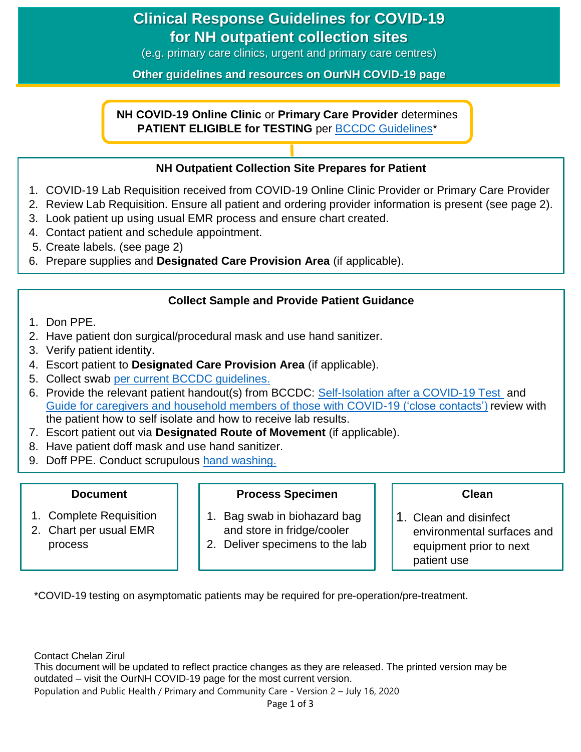# **Clinical Response Guidelines for COVID-19 for NH outpatient collection sites**

(e.g. primary care clinics, urgent and primary care centres)

**Other guidelines and resources on OurNH COVID-19 page**

**NH COVID-19 Online Clinic** or **Primary Care Provider** determines **PATIENT ELIGIBLE for TESTING** per [BCCDC Guidelines\\*](http://www.bccdc.ca/health-professionals/clinical-resources/covid-19-care/lab-testing)

### **NH Outpatient Collection Site Prepares for Patient**

- 1. COVID-19 Lab Requisition received from COVID-19 Online Clinic Provider or Primary Care Provider
- 2. Review Lab Requisition. Ensure all patient and ordering provider information is present (see page 2).
- 3. Look patient up using usual EMR process and ensure chart created.
- 4. Contact patient and schedule appointment.
- 5. Create labels. (see page 2)
- 6. Prepare supplies and **Designated Care Provision Area** (if applicable).

### **Collect Sample and Provide Patient Guidance**

- 1. Don PPE.
- 2. Have patient don surgical/procedural mask and use hand sanitizer.
- 3. Verify patient identity.
- 4. Escort patient to **Designated Care Provision Area** (if applicable).
- 5. Collect swab [per current BCCDC guidelines.](http://www.bccdc.ca/health-professionals/clinical-resources/covid-19-care/lab-testing)
- 6. Provide the relevant patient handout(s) from BCCDC: [Self-Isolation after a COVID-19 Test](http://www.bccdc.ca/resource-gallery/Documents/Guidelines%20and%20Forms/Guidelines%20and%20Manuals/Epid/CD%20Manual/Chapter%201%20-%20CDC/COVID19-self-isolation-post-testing.pdf) and [Guide for caregivers and household members of those with COVID-19 \('close contacts'\)](http://www.bccdc.ca/Health-Info-Site/Documents/Self-isolation_caregivers.pdf) review with the patient how to self isolate and how to receive lab results.
- **PATIENT ARRIVES AT NUME OF A THE OWNER COLLECTION** SITES SCALLER THE SECTION SIGNAL TEST AT THE SECTION SIGNAL TE<br>7. Escort patient out via Designated Route of Movement (if applicable).
- 8. Have patient doff mask and use hand sanitizer.
- 9. Doff PPE. Conduct scrupulous [hand washing.](https://ournh.northernhealth.ca/PoliciesProcedures/DST%20Published%20Policies/4-1-1-070.pdf)

### **Document**

- 1. Complete Requisition
- 2. Chart per usual EMR process

### **Process Specimen**

- 1. Bag swab in biohazard bag and store in fridge/cooler
- 2. Deliver specimens to the lab

### **Clean**

1. Clean and disinfect environmental surfaces and equipment prior to next patient use

\*COVID-19 testing on asymptomatic patients may be required for pre-operation/pre-treatment.

Contact Chelan Zirul This document will be updated to reflect practice changes as they are released. The printed version may be outdated – visit the OurNH COVID-19 page for the most current version. Population and Public Health / Primary and Community Care - Version 2 – July 16, 2020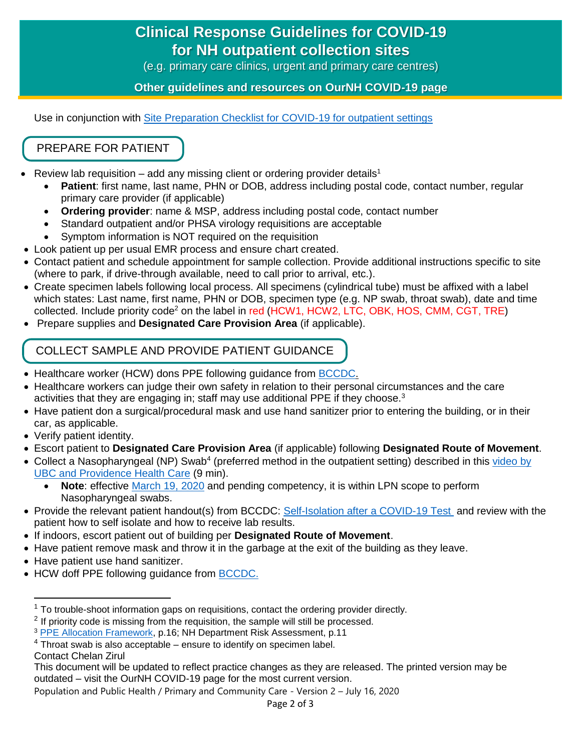# **Clinical Response Guidelines for COVID-19 for NH outpatient collection sites**

(e.g. primary care clinics, urgent and primary care centres)

**Other guidelines and resources on OurNH COVID-19 page**

Use in conjunction with [Site Preparation Checklist for COVID-19 for outpatient settings](https://ournh.northernhealth.ca/oursites/communications/OurNH%20Communications%20Documents/site-preparation-checklist-for-covid-19-outpatient-settings.pdf)

## PREPARE FOR PATIENT

- Review lab requisition add any missing client or ordering provider details<sup>1</sup>
	- **Patient**: first name, last name, PHN or DOB, address including postal code, contact number, regular primary care provider (if applicable)
	- **Ordering provider**: name & MSP, address including postal code, contact number
	- Standard outpatient and/or PHSA virology requisitions are acceptable
	- Symptom information is NOT required on the requisition
- Look patient up per usual EMR process and ensure chart created.
- Contact patient and schedule appointment for sample collection. Provide additional instructions specific to site (where to park, if drive-through available, need to call prior to arrival, etc.).
- Create specimen labels following local process. All specimens (cylindrical tube) must be affixed with a label which states: Last name, first name, PHN or DOB, specimen type (e.g. NP swab, throat swab), date and time collected. Include priority code<sup>2</sup> on the label in red (HCW1, HCW2, LTC, OBK, HOS, CMM, CGT, TRE)
- Prepare supplies and **Designated Care Provision Area** (if applicable).

## COLLECT SAMPLE AND PROVIDE PATIENT GUIDANCE

- Healthcare worker (HCW) dons PPE following quidance from [BCCDC.](http://www.bccdc.ca/health-professionals/clinical-resources/covid-19-care/infection-control/personal-protective-equipment)
- Healthcare workers can judge their own safety in relation to their personal circumstances and the care activities that they are engaging in; staff may use additional PPE if they choose. $3$
- Have patient don a surgical/procedural mask and use hand sanitizer prior to entering the building, or in their car, as applicable.
- Verify patient identity.
- Escort patient to **Designated Care Provision Area** (if applicable) following **Designated Route of Movement**.
- Collect a Nasopharyngeal (NP) Swab<sup>4</sup> (preferred method in the outpatient setting) described in this video by [UBC and Providence Health Care](https://www.youtube.com/watch?v=f0xSKPm8IKA&feature=youtu.be) (9 min).
	- **Note**: effective [March 19, 2020](https://www.bccnp.ca/bccnp/Announcements/Pages/Announcement.aspx?AnnouncementID=141) and pending competency, it is within LPN scope to perform Nasopharyngeal swabs.
- Provide the relevant patient handout(s) from BCCDC: [Self-Isolation after a COVID-19 Test](http://www.bccdc.ca/resource-gallery/Documents/Guidelines%20and%20Forms/Guidelines%20and%20Manuals/Epid/CD%20Manual/Chapter%201%20-%20CDC/COVID19-self-isolation-post-testing.pdf) and review with the patient how to self isolate and how to receive lab results.
- If indoors, escort patient out of building per **Designated Route of Movement**.
- Have patient remove mask and throw it in the garbage at the exit of the building as they leave.
- Have patient use hand sanitizer.
- HCW doff PPE following guidance from [BCCDC.](http://www.bccdc.ca/health-professionals/clinical-resources/covid-19-care/infection-control/personal-protective-equipment)

Contact Chelan Zirul

l

<sup>1</sup> To trouble-shoot information gaps on requisitions, contact the ordering provider directly.

 $2$  If priority code is missing from the requisition, the sample will still be processed.

<sup>3</sup> [PPE Allocation Framework,](https://www2.gov.bc.ca/assets/gov/health/about-bc-s-health-care-system/office-of-the-provincial-health-officer/covid-19/ppe_allocation_framework_march_25_2020.pdf) p.16; NH Department Risk Assessment, p.11

 $4\overline{\text{Throat}}$  swab is also acceptable – ensure to identify on specimen label.

This document will be updated to reflect practice changes as they are released. The printed version may be outdated – visit the OurNH COVID-19 page for the most current version.

Population and Public Health / Primary and Community Care - Version 2 – July 16, 2020